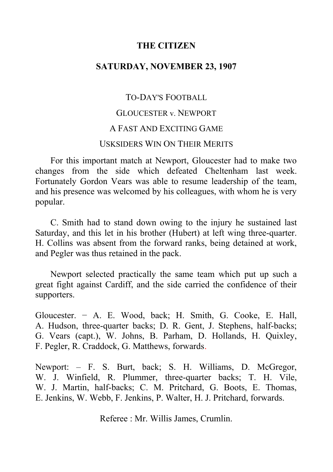# **THE CITIZEN**

## **SATURDAY, NOVEMBER 23, 1907**

# TO-DAY'S FOOTBALL GLOUCESTER v. NEWPORT A FAST AND EXCITING GAME USKSIDERS WIN ON THEIR MERITS

For this important match at Newport, Gloucester had to make two changes from the side which defeated Cheltenham last week. Fortunately Gordon Vears was able to resume leadership of the team, and his presence was welcomed by his colleagues, with whom he is very popular.

C. Smith had to stand down owing to the injury he sustained last Saturday, and this let in his brother (Hubert) at left wing three-quarter. H. Collins was absent from the forward ranks, being detained at work, and Pegler was thus retained in the pack.

Newport selected practically the same team which put up such a great fight against Cardiff, and the side carried the confidence of their supporters.

Gloucester. − A. E. Wood, back; H. Smith, G. Cooke, E. Hall, A. Hudson, three-quarter backs; D. R. Gent, J. Stephens, half-backs; G. Vears (capt.), W. Johns, B. Parham, D. Hollands, H. Quixley, F. Pegler, R. Craddock, G. Matthews, forwards.

Newport: - F. S. Burt, back; S. H. Williams, D. McGregor, W. J. Winfield, R. Plummer, three-quarter backs; T. H. Vile, W. J. Martin, half-backs; C. M. Pritchard, G. Boots, E. Thomas, E. Jenkins, W. Webb, F. Jenkins, P. Walter, H. J. Pritchard, forwards.

Referee : Mr. Willis James, Crumlin.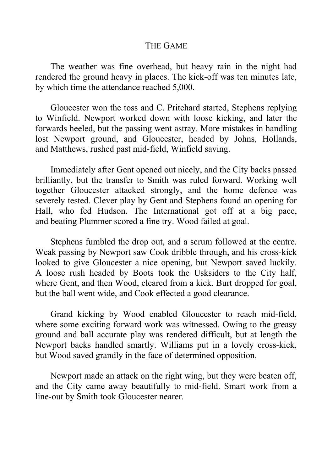#### THE GAME

The weather was fine overhead, but heavy rain in the night had rendered the ground heavy in places. The kick-off was ten minutes late, by which time the attendance reached 5,000.

Gloucester won the toss and C. Pritchard started, Stephens replying to Winfield. Newport worked down with loose kicking, and later the forwards heeled, but the passing went astray. More mistakes in handling lost Newport ground, and Gloucester, headed by Johns, Hollands, and Matthews, rushed past mid-field, Winfield saving.

Immediately after Gent opened out nicely, and the City backs passed brilliantly, but the transfer to Smith was ruled forward. Working well together Gloucester attacked strongly, and the home defence was severely tested. Clever play by Gent and Stephens found an opening for Hall, who fed Hudson. The International got off at a big pace, and beating Plummer scored a fine try. Wood failed at goal.

Stephens fumbled the drop out, and a scrum followed at the centre. Weak passing by Newport saw Cook dribble through, and his cross-kick looked to give Gloucester a nice opening, but Newport saved luckily. A loose rush headed by Boots took the Usksiders to the City half, where Gent, and then Wood, cleared from a kick. Burt dropped for goal, but the ball went wide, and Cook effected a good clearance.

Grand kicking by Wood enabled Gloucester to reach mid-field, where some exciting forward work was witnessed. Owing to the greasy ground and ball accurate play was rendered difficult, but at length the Newport backs handled smartly. Williams put in a lovely cross-kick, but Wood saved grandly in the face of determined opposition.

Newport made an attack on the right wing, but they were beaten off, and the City came away beautifully to mid-field. Smart work from a line-out by Smith took Gloucester nearer.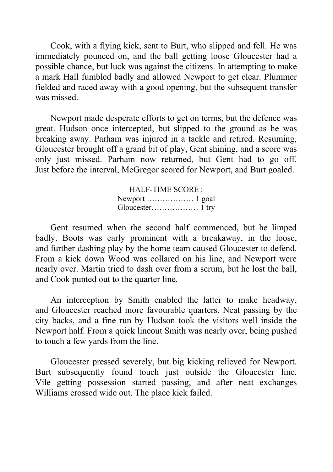Cook, with a flying kick, sent to Burt, who slipped and fell. He was immediately pounced on, and the ball getting loose Gloucester had a possible chance, but luck was against the citizens. In attempting to make a mark Hall fumbled badly and allowed Newport to get clear. Plummer fielded and raced away with a good opening, but the subsequent transfer was missed.

Newport made desperate efforts to get on terms, but the defence was great. Hudson once intercepted, but slipped to the ground as he was breaking away. Parham was injured in a tackle and retired. Resuming, Gloucester brought off a grand bit of play, Gent shining, and a score was only just missed. Parham now returned, but Gent had to go off. Just before the interval, McGregor scored for Newport, and Burt goaled.

> HALF-TIME SCORE : Newport ……………… 1 goal Gloucester……………… 1 try

Gent resumed when the second half commenced, but he limped badly. Boots was early prominent with a breakaway, in the loose, and further dashing play by the home team caused Gloucester to defend. From a kick down Wood was collared on his line, and Newport were nearly over. Martin tried to dash over from a scrum, but he lost the ball, and Cook punted out to the quarter line.

An interception by Smith enabled the latter to make headway, and Gloucester reached more favourable quarters. Neat passing by the city backs, and a fine run by Hudson took the visitors well inside the Newport half. From a quick lineout Smith was nearly over, being pushed to touch a few yards from the line.

Gloucester pressed severely, but big kicking relieved for Newport. Burt subsequently found touch just outside the Gloucester line. Vile getting possession started passing, and after neat exchanges Williams crossed wide out. The place kick failed.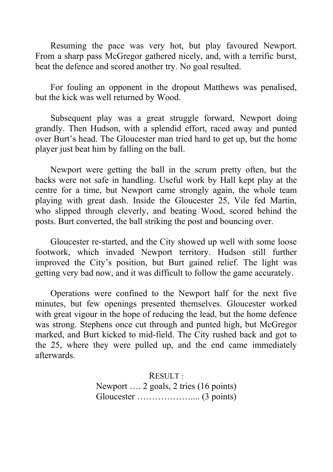Resuming the pace was very hot, but play favoured Newport. From a sharp pass McGregor gathered nicely, and, with a terrific burst, beat the defence and scored another try. No goal resulted.

For fouling an opponent in the dropout Matthews was penalised, but the kick was well returned by Wood.

Subsequent play was a great struggle forward, Newport doing grandly. Then Hudson, with a splendid effort, raced away and punted over Burt's head. The Gloucester man tried hard to get up, but the home player just beat him by falling on the ball.

Newport were getting the ball in the scrum pretty often, but the backs were not safe in handling. Useful work by Hall kept play at the centre for a time, but Newport came strongly again, the whole team playing with great dash. Inside the Gloucester 25, Vile fed Martin, who slipped through cleverly, and beating Wood, scored behind the posts. Burt converted, the ball striking the post and bouncing over.

Gloucester re-started, and the City showed up well with some loose footwork, which invaded Newport territory. Hudson still further improved the City's position, but Burt gained relief. The light was getting very bad now, and it was difficult to follow the game accurately.

Operations were confined to the Newport half for the next five minutes, but few openings presented themselves. Gloucester worked with great vigour in the hope of reducing the lead, but the home defence was strong. Stephens once cut through and punted high, but McGregor marked, and Burt kicked to mid-field. The City rushed back and got to the 25, where they were pulled up, and the end came immediately afterwards.

> RESULT : Newport …. 2 goals, 2 tries (16 points) Gloucester ……………….... (3 points)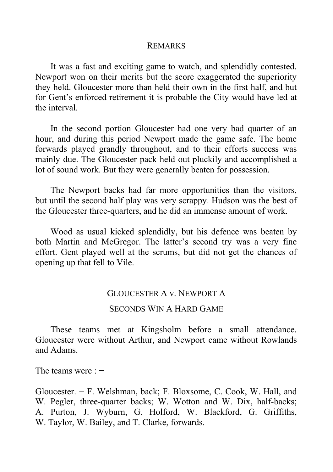#### REMARKS

It was a fast and exciting game to watch, and splendidly contested. Newport won on their merits but the score exaggerated the superiority they held. Gloucester more than held their own in the first half, and but for Gent's enforced retirement it is probable the City would have led at the interval.

In the second portion Gloucester had one very bad quarter of an hour, and during this period Newport made the game safe. The home forwards played grandly throughout, and to their efforts success was mainly due. The Gloucester pack held out pluckily and accomplished a lot of sound work. But they were generally beaten for possession.

The Newport backs had far more opportunities than the visitors, but until the second half play was very scrappy. Hudson was the best of the Gloucester three-quarters, and he did an immense amount of work.

Wood as usual kicked splendidly, but his defence was beaten by both Martin and McGregor. The latter's second try was a very fine effort. Gent played well at the scrums, but did not get the chances of opening up that fell to Vile.

#### GLOUCESTER A v. NEWPORT A

### SECONDS WIN A HARD GAME

These teams met at Kingsholm before a small attendance. Gloucester were without Arthur, and Newport came without Rowlands and Adams.

The teams were : −

Gloucester. − F. Welshman, back; F. Bloxsome, C. Cook, W. Hall, and W. Pegler, three-quarter backs; W. Wotton and W. Dix, half-backs; A. Purton, J. Wyburn, G. Holford, W. Blackford, G. Griffiths, W. Taylor, W. Bailey, and T. Clarke, forwards.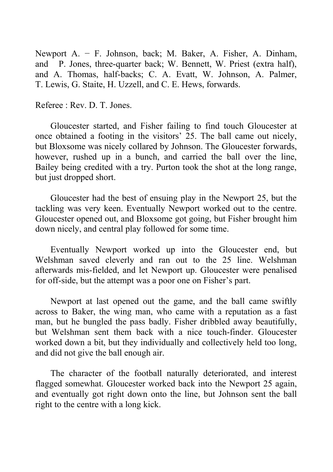Newport A. − F. Johnson, back; M. Baker, A. Fisher, A. Dinham, and P. Jones, three-quarter back; W. Bennett, W. Priest (extra half), and A. Thomas, half-backs; C. A. Evatt, W. Johnson, A. Palmer, T. Lewis, G. Staite, H. Uzzell, and C. E. Hews, forwards.

Referee : Rev. D. T. Jones.

Gloucester started, and Fisher failing to find touch Gloucester at once obtained a footing in the visitors' 25. The ball came out nicely, but Bloxsome was nicely collared by Johnson. The Gloucester forwards, however, rushed up in a bunch, and carried the ball over the line, Bailey being credited with a try. Purton took the shot at the long range, but just dropped short.

Gloucester had the best of ensuing play in the Newport 25, but the tackling was very keen. Eventually Newport worked out to the centre. Gloucester opened out, and Bloxsome got going, but Fisher brought him down nicely, and central play followed for some time.

Eventually Newport worked up into the Gloucester end, but Welshman saved cleverly and ran out to the 25 line. Welshman afterwards mis-fielded, and let Newport up. Gloucester were penalised for off-side, but the attempt was a poor one on Fisher's part.

Newport at last opened out the game, and the ball came swiftly across to Baker, the wing man, who came with a reputation as a fast man, but he bungled the pass badly. Fisher dribbled away beautifully, but Welshman sent them back with a nice touch-finder. Gloucester worked down a bit, but they individually and collectively held too long, and did not give the ball enough air.

The character of the football naturally deteriorated, and interest flagged somewhat. Gloucester worked back into the Newport 25 again, and eventually got right down onto the line, but Johnson sent the ball right to the centre with a long kick.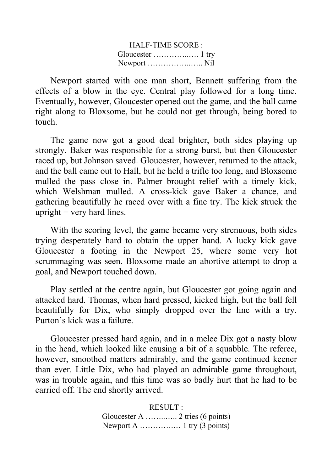| <b>HALF-TIME SCORE:</b> |  |
|-------------------------|--|
|                         |  |
|                         |  |

Newport started with one man short, Bennett suffering from the effects of a blow in the eye. Central play followed for a long time. Eventually, however, Gloucester opened out the game, and the ball came right along to Bloxsome, but he could not get through, being bored to touch.

The game now got a good deal brighter, both sides playing up strongly. Baker was responsible for a strong burst, but then Gloucester raced up, but Johnson saved. Gloucester, however, returned to the attack, and the ball came out to Hall, but he held a trifle too long, and Bloxsome mulled the pass close in. Palmer brought relief with a timely kick, which Welshman mulled. A cross-kick gave Baker a chance, and gathering beautifully he raced over with a fine try. The kick struck the upright  $-$  very hard lines.

With the scoring level, the game became very strenuous, both sides trying desperately hard to obtain the upper hand. A lucky kick gave Gloucester a footing in the Newport 25, where some very hot scrummaging was seen. Bloxsome made an abortive attempt to drop a goal, and Newport touched down.

Play settled at the centre again, but Gloucester got going again and attacked hard. Thomas, when hard pressed, kicked high, but the ball fell beautifully for Dix, who simply dropped over the line with a try. Purton's kick was a failure.

Gloucester pressed hard again, and in a melee Dix got a nasty blow in the head, which looked like causing a bit of a squabble. The referee, however, smoothed matters admirably, and the game continued keener than ever. Little Dix, who had played an admirable game throughout, was in trouble again, and this time was so badly hurt that he had to be carried off. The end shortly arrived.

#### RESULT :

Gloucester A ……..….. 2 tries (6 points) Newport A ………….… 1 try (3 points)